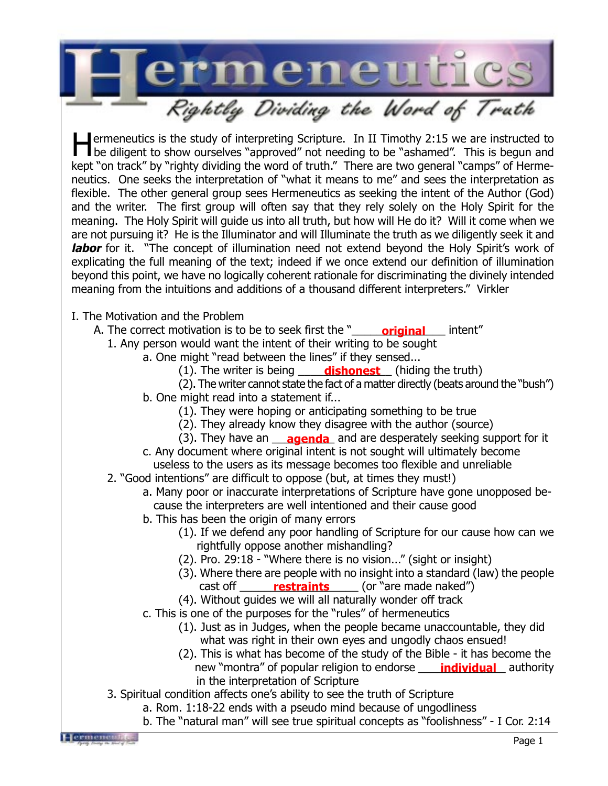

Hermeneutics is the study of interpreting Scripture. In II Timothy 2:15 we are instructed to be diligent to show ourselves "approved" not needing to be "ashamed". This is begun and kept "on track" by "righty dividing the word of truth." There are two general "camps" of Hermeneutics. One seeks the interpretation of "what it means to me" and sees the interpretation as flexible. The other general group sees Hermeneutics as seeking the intent of the Author (God) and the writer. The first group will often say that they rely solely on the Holy Spirit for the meaning. The Holy Spirit will guide us into all truth, but how will He do it? Will it come when we are not pursuing it? He is the Illuminator and will Illuminate the truth as we diligently seek it and **labor** for it. "The concept of illumination need not extend beyond the Holy Spirit's work of explicating the full meaning of the text; indeed if we once extend our definition of illumination beyond this point, we have no logically coherent rationale for discriminating the divinely intended meaning from the intuitions and additions of a thousand different interpreters." Virkler

I. The Motivation and the Problem

- A. The correct motivation is to be to seek first the "\_\_\_\_\_\_**original\_\_\_\_** intent"
	- 1. Any person would want the intent of their writing to be sought
		- a. One might "read between the lines" if they sensed...
			- (1). The writer is being **dishonest** (hiding the truth)
			- (2). The writer cannot state the fact of a matter directly (beats around the "bush")
			- b. One might read into a statement if...
				- (1). They were hoping or anticipating something to be true
				- (2). They already know they disagree with the author (source)
				- (3). They have an **exagenda** and are desperately seeking support for it
			- c. Any document where original intent is not sought will ultimately become useless to the users as its message becomes too flexible and unreliable
	- 2. "Good intentions" are difficult to oppose (but, at times they must!)
		- a. Many poor or inaccurate interpretations of Scripture have gone unopposed be cause the interpreters are well intentioned and their cause good
		- b. This has been the origin of many errors
			- (1). If we defend any poor handling of Scripture for our cause how can we rightfully oppose another mishandling?
			- (2). Pro. 29:18 "Where there is no vision..." (sight or insight)
			- (3). Where there are people with no insight into a standard (law) the people cast off \_\_\_\_\_\_\_\_\_\_\_\_\_\_\_\_\_\_\_\_\_\_\_\_\_\_\_\_ (or "are made naked")
			- (4). Without guides we will all naturally wonder off track
		- c. This is one of the purposes for the "rules" of hermeneutics
			- (1). Just as in Judges, when the people became unaccountable, they did what was right in their own eyes and ungodly chaos ensued!
			- (2). This is what has become of the study of the Bible it has become the new "montra" of popular religion to endorse **\_\_\_\_\_ individual\_\_** authority in the interpretation of Scripture
	- 3. Spiritual condition affects one's ability to see the truth of Scripture
		- a. Rom. 1:18-22 ends with a pseudo mind because of ungodliness
		- b. The "natural man" will see true spiritual concepts as "foolishness" I Cor. 2:14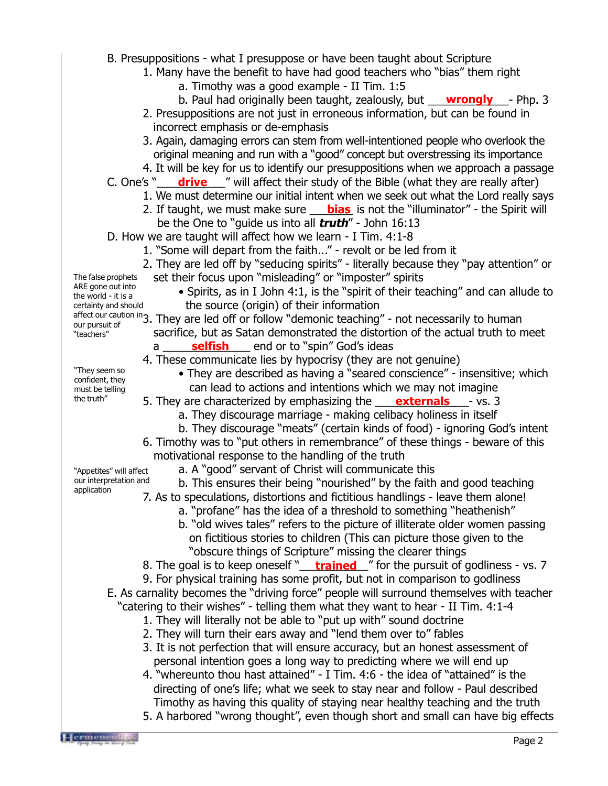B. Presuppositions - what I presuppose or have been taught about Scripture 1. Many have the benefit to have had good teachers who "bias" them right a. Timothy was a good example - II Tim. 1:5 b. Paul had originally been taught, zealously, but **wrongly** - Php. 3 2. Presuppositions are not just in erroneous information, but can be found in incorrect emphasis or de-emphasis 3. Again, damaging errors can stem from well-intentioned people who overlook the original meaning and run with a "good" concept but overstressing its importance 4. It will be key for us to identify our presuppositions when we approach a passage C. One's "**\_\_\_\_\_\_\_drive** \_\_\_\_" will affect their study of the Bible (what they are really after) 1. We must determine our initial intent when we seek out what the Lord really says 2. If taught, we must make sure **bias** is not the "illuminator" - the Spirit will be the One to "guide us into all **truth**" - John 16:13 D. How we are taught will affect how we learn - I Tim. 4:1-8 1. "Some will depart from the faith..." - revolt or be led from it 2. They are led off by "seducing spirits" - literally because they "pay attention" or set their focus upon "misleading" or "imposter" spirits • Spirits, as in I John 4:1, is the "spirit of their teaching" and can allude to the source (origin) of their information affect our caution in 3. They are led off or follow "demonic teaching" - not necessarily to human sacrifice, but as Satan demonstrated the distortion of the actual truth to meet a \_\_\_\_\_\_\_\_\_\_\_\_\_\_ end or to "spin" God's ideas **selfish** 4. These communicate lies by hypocrisy (they are not genuine) • They are described as having a "seared conscience" - insensitive; which can lead to actions and intentions which we may not imagine 5. They are characterized by emphasizing the **externals** by vs. 3 a. They discourage marriage - making celibacy holiness in itself b. They discourage "meats" (certain kinds of food) - ignoring God's intent 6. Timothy was to "put others in remembrance" of these things - beware of this motivational response to the handling of the truth a. A "good" servant of Christ will communicate this b. This ensures their being "nourished" by the faith and good teaching 7. As to speculations, distortions and fictitious handlings - leave them alone! a. "profane" has the idea of a threshold to something "heathenish" b. "old wives tales" refers to the picture of illiterate older women passing on fictitious stories to children (This can picture those given to the "obscure things of Scripture" missing the clearer things 8. The goal is to keep oneself "\_\_\_\_<mark>trained</mark>\_\_" for the pursuit of godliness - vs. 7 9. For physical training has some profit, but not in comparison to godliness E. As carnality becomes the "driving force" people will surround themselves with teacher "catering to their wishes" - telling them what they want to hear - II Tim. 4:1-4 1. They will literally not be able to "put up with" sound doctrine 2. They will turn their ears away and "lend them over to" fables 3. It is not perfection that will ensure accuracy, but an honest assessment of personal intention goes a long way to predicting where we will end up 4. "whereunto thou hast attained" - I Tim. 4:6 - the idea of "attained" is the directing of one's life; what we seek to stay near and follow - Paul described Timothy as having this quality of staying near healthy teaching and the truth 5. A harbored "wrong thought", even though short and small can have big effects The false prophets ARE gone out into the world - it is a certainty and should our pursuit of "teachers" "They seem so confident, they must be telling the truth" "Appetites" will affect our interpretation and application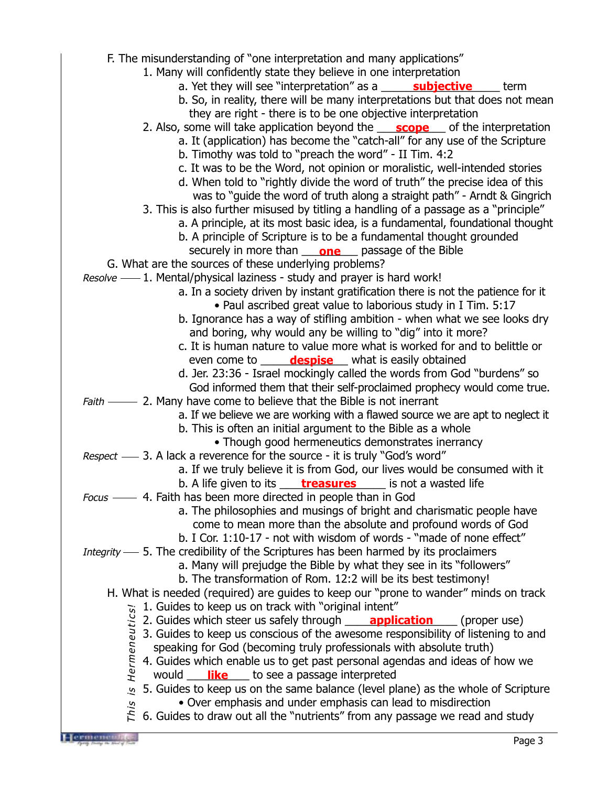F. The misunderstanding of "one interpretation and many applications" 1. Many will confidently state they believe in one interpretation a. Yet they will see "interpretation" as a state subjective state term b. So, in reality, there will be many interpretations but that does not mean they are right - there is to be one objective interpretation 2. Also, some will take application beyond the **scope** of the interpretation a. It (application) has become the "catch-all" for any use of the Scripture b. Timothy was told to "preach the word" - II Tim. 4:2 c. It was to be the Word, not opinion or moralistic, well-intended stories d. When told to "rightly divide the word of truth" the precise idea of this was to "guide the word of truth along a straight path" - Arndt & Gingrich 3. This is also further misused by titling a handling of a passage as a "principle" a. A principle, at its most basic idea, is a fundamental, foundational thought b. A principle of Scripture is to be a fundamental thought grounded securely in more than **one** passage of the Bible G. What are the sources of these underlying problems? Resolve - 1. Mental/physical laziness - study and prayer is hard work! a. In a society driven by instant gratification there is not the patience for it • Paul ascribed great value to laborious study in I Tim. 5:17 b. Ignorance has a way of stifling ambition - when what we see looks dry and boring, why would any be willing to "dig" into it more? c. It is human nature to value more what is worked for and to belittle or even come to **despise** what is easily obtained d. Jer. 23:36 - Israel mockingly called the words from God "burdens" so God informed them that their self-proclaimed prophecy would come true. Faith — 2. Many have come to believe that the Bible is not inerrant a. If we believe we are working with a flawed source we are apt to neglect it b. This is often an initial argument to the Bible as a whole • Though good hermeneutics demonstrates inerrancy Respect — 3. A lack a reverence for the source - it is truly "God's word" a. If we truly believe it is from God, our lives would be consumed with it b. A life given to its \_\_\_\_\_<mark>treasures</mark> \_\_\_\_\_ is not a wasted life 4. Faith has been more directed in people than in God Focus a. The philosophies and musings of bright and charismatic people have come to mean more than the absolute and profound words of God b. I Cor. 1:10-17 - not with wisdom of words - "made of none effect" Integrity — 5. The credibility of the Scriptures has been harmed by its proclaimers a. Many will prejudge the Bible by what they see in its "followers" b. The transformation of Rom. 12:2 will be its best testimony! H. What is needed (required) are guides to keep our "prone to wander" minds on track 1. Guides to keep us on track with "original intent" 2. Guides which steer us safely through **quite application** (proper use) 3. Guides to keep us conscious of the awesome responsibility of listening to and speaking for God (becoming truly professionals with absolute truth) 4. Guides which enable us to get past personal agendas and ideas of how we would **like** to see a passage interpreted 5. Guides to keep us on the same balance (level plane) as the whole of Scripture • Over emphasis and under emphasis can lead to misdirection  $\tilde{\mathcal{F}}$  6. Guides to draw out all the "nutrients" from any passage we read and study This is Hermeneutics!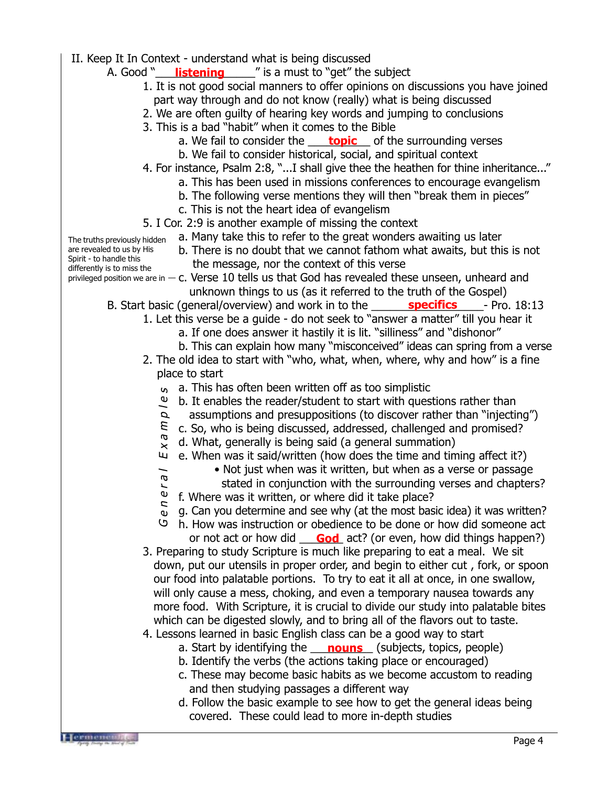- II. Keep It In Context understand what is being discussed
	- A. Good "\_\_\_\_\_\_**listening**\_\_\_\_\_\_\_" is a must to "get" the subject
		- 1. It is not good social manners to offer opinions on discussions you have joined part way through and do not know (really) what is being discussed
		- 2. We are often guilty of hearing key words and jumping to conclusions
		- 3. This is a bad "habit" when it comes to the Bible
			- a. We fail to consider the **\_\_\_\_\_<u>topic</u>\_\_\_** of the surrounding verses
			- b. We fail to consider historical, social, and spiritual context
		- 4. For instance, Psalm 2:8, "...I shall give thee the heathen for thine inheritance..."
			- a. This has been used in missions conferences to encourage evangelism
			- b. The following verse mentions they will then "break them in pieces"
			- c. This is not the heart idea of evangelism
		- 5. I Cor. 2:9 is another example of missing the context
			- a. Many take this to refer to the great wonders awaiting us later
- The truths previously hidden are revealed to us by His Spirit - to handle this differently is to miss the

 $\overline{\phantom{0}}$  $\boldsymbol{\varpi}$ 

- b. There is no doubt that we cannot fathom what awaits, but this is not the message, nor the context of this verse
- privileged position we are in  $-$  C. Verse 10 tells us that God has revealed these unseen, unheard and unknown things to us (as it referred to the truth of the Gospel)
	- B. Start basic (general/overview) and work in to the **\_\_\_\_\_\_\_\_\_\_\_\_\_\_\_\_\_\_\_\_\_\_\_\_\_** Pro. 18:13
		- 1. Let this verse be a guide do not seek to "answer a matter" till you hear it
			- a. If one does answer it hastily it is lit. "silliness" and "dishonor"
			- b. This can explain how many "misconceived" ideas can spring from a verse
		- 2. The old idea to start with "who, what, when, where, why and how" is a fine place to start
			- <sup>6</sup> a. This has often been written off as too simplistic
			- $\mathbf{e}$ b. It enables the reader/student to start with questions rather than
			- assumptions and presuppositions (to discover rather than "injecting")  $\boldsymbol{\mathcal{Q}}$
			- $\mathcal{L}$ c. So, who is being discussed, addressed, challenged and promised?
			- Gener al Examples Ø d. What, generally is being said (a general summation)  $\mathbb{E}\,x$ 
				- e. When was it said/written (how does the time and timing affect it?)
					- Not just when was it written, but when as a verse or passage
					- stated in conjunction with the surrounding verses and chapters?
			- $\epsilon$ r f. Where was it written, or where did it take place? **z**
			- $\overrightarrow{v}$  g. Can you determine and see why (at the most basic idea) it was written?
			- h. How was instruction or obedience to be done or how did someone act ပ or not act or how did **God** act? (or even, how did things happen?)
		- 3. Preparing to study Scripture is much like preparing to eat a meal. We sit down, put our utensils in proper order, and begin to either cut , fork, or spoon our food into palatable portions. To try to eat it all at once, in one swallow, will only cause a mess, choking, and even a temporary nausea towards any more food. With Scripture, it is crucial to divide our study into palatable bites which can be digested slowly, and to bring all of the flavors out to taste.
		- 4. Lessons learned in basic English class can be a good way to start
			- a. Start by identifying the **nouns** (subjects, topics, people)
			- b. Identify the verbs (the actions taking place or encouraged)
			- c. These may become basic habits as we become accustom to reading and then studying passages a different way
			- d. Follow the basic example to see how to get the general ideas being covered. These could lead to more in-depth studies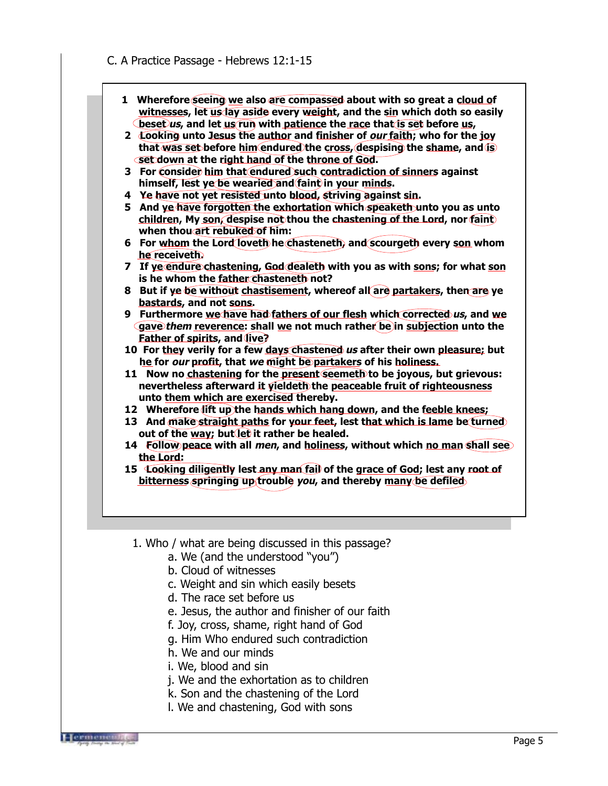- **1 Wherefore seeing we also are compassed about with so great a cloud of** witnesses, let us lay aside every weight, and the sin which doth so easily **beset us, and let us run with patience the race that is set before us,**
- **2 Looking unto Jesus the author and finisher of our faith; who for the joy that was set before him endured the cross, despising the shame, and is set down at the right hand of the throne of God.**
- **3 For consider him that endured such contradiction of sinners against** himself, lest ve be wearied and faint in your minds.
- **4 Ye have not yet resisted unto blood, striving against sin.**
- **5 And ye have forgotten the exhortation which speaketh unto you as unto children, My son, despise not thou the chastening of the Lord, nor faint when thou art rebuked of him:**
- **6 For whom the Lord loveth he chasteneth, and scourgeth every son whom he receiveth.**
- **7 If ye endure chastening, God dealeth with you as with sons; for what son is he whom the father chasteneth not?**
- **8 But if ye be without chastisement, whereof all are partakers, then are ye bastards, and not sons.**
- **9 Furthermore we have had fathers of our flesh which corrected us, and we gave them reverence: shall we not much rather be in subjection unto the Father of spirits, and live?**
- **10 For they verily for a few days chastened us after their own pleasure; but he for our profit, that we might be partakers of his holiness.**
- **11 Now no chastening for the present seemeth to be joyous, but grievous: nevertheless afterward it yieldeth the peaceable fruit of righteousness unto them which are exercised thereby.**
- **12 Wherefore lift up the hands which hang down, and the feeble knees;**
- **13 And make straight paths for your feet, lest that which is lame be turned** out of the way; but let it rather be healed.
- **14 Follow peace with all men, and holiness, without which no man shall see the Lord:**
- **15 Looking diligently lest any man fail of the grace of God; lest any root of bitterness springing up trouble you, and thereby many be defiled**
- 1. Who / what are being discussed in this passage?
	- a. We (and the understood "you")
	- b. Cloud of witnesses
	- c. Weight and sin which easily besets
	- d. The race set before us
	- e. Jesus, the author and finisher of our faith
	- f. Joy, cross, shame, right hand of God
	- g. Him Who endured such contradiction
	- h. We and our minds
	- i. We, blood and sin
	- j. We and the exhortation as to children
	- k. Son and the chastening of the Lord
	- l. We and chastening, God with sons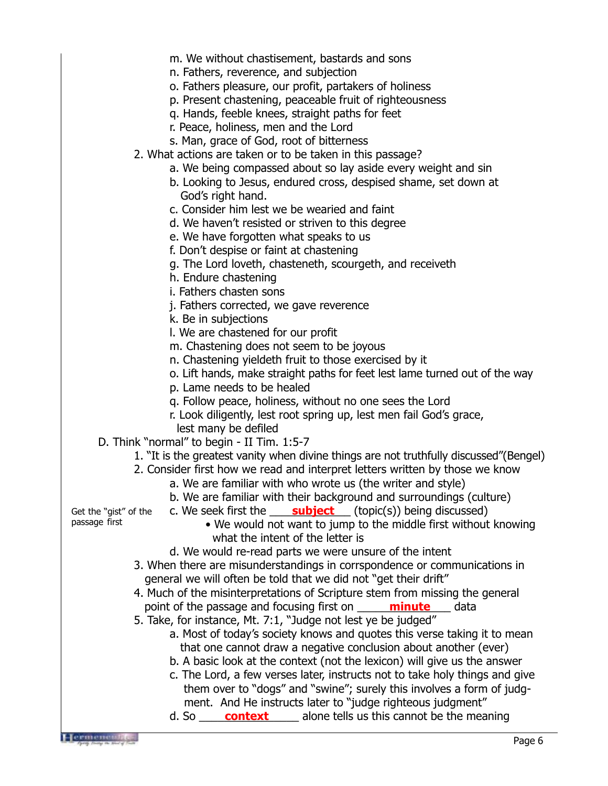m. We without chastisement, bastards and sons n. Fathers, reverence, and subjection o. Fathers pleasure, our profit, partakers of holiness p. Present chastening, peaceable fruit of righteousness q. Hands, feeble knees, straight paths for feet r. Peace, holiness, men and the Lord s. Man, grace of God, root of bitterness 2. What actions are taken or to be taken in this passage? a. We being compassed about so lay aside every weight and sin b. Looking to Jesus, endured cross, despised shame, set down at God's right hand. c. Consider him lest we be wearied and faint d. We haven't resisted or striven to this degree e. We have forgotten what speaks to us f. Don't despise or faint at chastening g. The Lord loveth, chasteneth, scourgeth, and receiveth h. Endure chastening i. Fathers chasten sons j. Fathers corrected, we gave reverence k. Be in subjections l. We are chastened for our profit m. Chastening does not seem to be joyous n. Chastening yieldeth fruit to those exercised by it o. Lift hands, make straight paths for feet lest lame turned out of the way p. Lame needs to be healed q. Follow peace, holiness, without no one sees the Lord r. Look diligently, lest root spring up, lest men fail God's grace, lest many be defiled D. Think "normal" to begin - II Tim. 1:5-7 1. "It is the greatest vanity when divine things are not truthfully discussed"(Bengel) 2. Consider first how we read and interpret letters written by those we know a. We are familiar with who wrote us (the writer and style) b. We are familiar with their background and surroundings (culture) c. We seek first the **\_\_\_\_\_ subject** \_\_\_ (topic(s)) being discussed) • We would not want to jump to the middle first without knowing what the intent of the letter is d. We would re-read parts we were unsure of the intent 3. When there are misunderstandings in corrspondence or communications in general we will often be told that we did not "get their drift" 4. Much of the misinterpretations of Scripture stem from missing the general point of the passage and focusing first on **\_\_\_\_\_\_\_\_\_\_\_\_\_\_\_\_\_\_\_**\_\_\_\_\_\_\_data 5. Take, for instance, Mt. 7:1, "Judge not lest ye be judged" a. Most of today's society knows and quotes this verse taking it to mean that one cannot draw a negative conclusion about another (ever) b. A basic look at the context (not the lexicon) will give us the answer c. The Lord, a few verses later, instructs not to take holy things and give them over to "dogs" and "swine"; surely this involves a form of judg ment. And He instructs later to "judge righteous judgment" d. So <u>context</u> alone tells us this cannot be the meaning Get the "gist" of the passage first

Hermen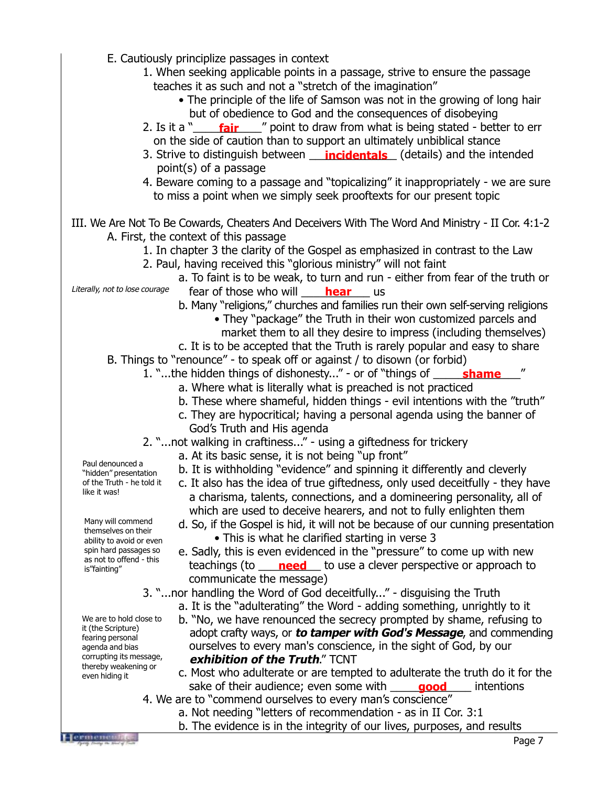- E. Cautiously principlize passages in context 1. When seeking applicable points in a passage, strive to ensure the passage teaches it as such and not a "stretch of the imagination" • The principle of the life of Samson was not in the growing of long hair but of obedience to God and the consequences of disobeying 2. Is it a "\_\_\_\_\_\_\_\_\_\_\_\_\_\_\_\_\_\_" point to draw from what is being stated - better to err on the side of caution than to support an ultimately unbiblical stance 3. Strive to distinguish between **\_\_\_\_\_incidentals** \_\_\_(details) and the intended point(s) of a passage 4. Beware coming to a passage and "topicalizing" it inappropriately - we are sure to miss a point when we simply seek prooftexts for our present topic III. We Are Not To Be Cowards, Cheaters And Deceivers With The Word And Ministry - II Cor. 4:1-2 A. First, the context of this passage 1. In chapter 3 the clarity of the Gospel as emphasized in contrast to the Law 2. Paul, having received this "glorious ministry" will not faint a. To faint is to be weak, to turn and run - either from fear of the truth or fear of those who will <u>\_\_\_\_**hear**</u>\_\_\_ us b. Many "religions," churches and families run their own self-serving religions • They "package" the Truth in their won customized parcels and market them to all they desire to impress (including themselves) c. It is to be accepted that the Truth is rarely popular and easy to share B. Things to "renounce" - to speak off or against / to disown (or forbid) 1. "...the hidden things of dishonesty..." - or of "things of **\_\_\_\_\_\_\_\_\_\_\_\_\_\_\_\_\_**" a. Where what is literally what is preached is not practiced b. These where shameful, hidden things - evil intentions with the "truth" c. They are hypocritical; having a personal agenda using the banner of God's Truth and His agenda 2. "...not walking in craftiness..." - using a giftedness for trickery a. At its basic sense, it is not being "up front" b. It is withholding "evidence" and spinning it differently and cleverly c. It also has the idea of true giftedness, only used deceitfully - they have a charisma, talents, connections, and a domineering personality, all of which are used to deceive hearers, and not to fully enlighten them d. So, if the Gospel is hid, it will not be because of our cunning presentation • This is what he clarified starting in verse 3 e. Sadly, this is even evidenced in the "pressure" to come up with new teachings (to **need** to use a clever perspective or approach to communicate the message) 3. "...nor handling the Word of God deceitfully..." - disguising the Truth a. It is the "adulterating" the Word - adding something, unrightly to it b. "No, we have renounced the secrecy prompted by shame, refusing to adopt crafty ways, or **to tamper with God's Message**, and commending ourselves to every man's conscience, in the sight of God, by our **exhibition of the Truth**." TCNT c. Most who adulterate or are tempted to adulterate the truth do it for the sake of their audience; even some with **quiling good** and intentions Literally, not to lose courage Paul denounced a "hidden" presentation of the Truth - he told it like it was! Many will commend themselves on their ability to avoid or even spin hard passages so as not to offend - this is"fainting" We are to hold close to it (the Scripture) fearing personal agenda and bias corrupting its message, thereby weakening or even hiding it
	- 4. We are to "commend ourselves to every man's conscience"
		- a. Not needing "letters of recommendation as in II Cor. 3:1
		- b. The evidence is in the integrity of our lives, purposes, and results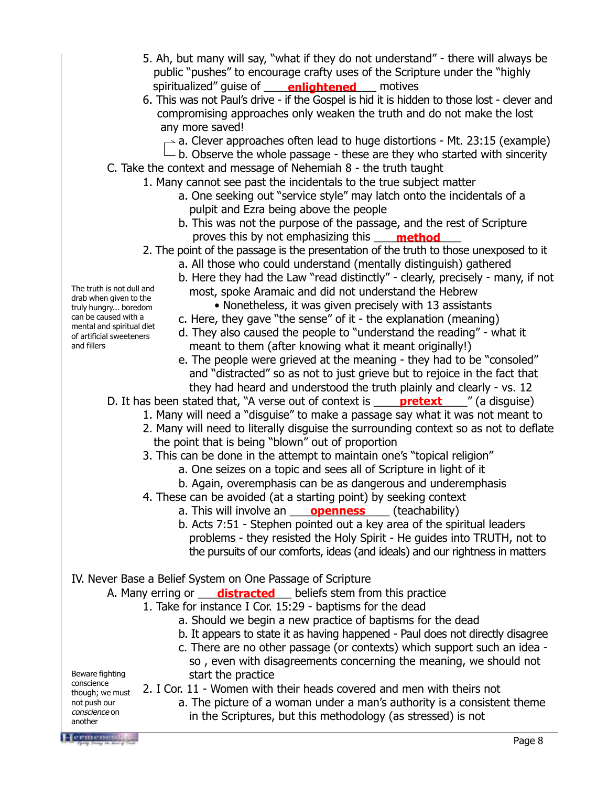- 5. Ah, but many will say, "what if they do not understand" there will always be public "pushes" to encourage crafty uses of the Scripture under the "highly spiritualized" guise of **enlightened** motives
- 6. This was not Paul's drive if the Gospel is hid it is hidden to those lost clever and compromising approaches only weaken the truth and do not make the lost any more saved!
	- $\sim$  a. Clever approaches often lead to huge distortions Mt. 23:15 (example)
	- $\Box$  d. Clever approaches siten is a response of the who started with sincerity b. Observe the whole passage these are they who started with sincerity
- C. Take the context and message of Nehemiah 8 the truth taught
	- 1. Many cannot see past the incidentals to the true subject matter
		- a. One seeking out "service style" may latch onto the incidentals of a pulpit and Ezra being above the people
		- b. This was not the purpose of the passage, and the rest of Scripture proves this by not emphasizing this \_\_\_\_\_\_\_\_\_\_\_\_\_\_ **method**
	- 2. The point of the passage is the presentation of the truth to those unexposed to it
		- a. All those who could understand (mentally distinguish) gathered
		- b. Here they had the Law "read distinctly" clearly, precisely many, if not most, spoke Aramaic and did not understand the Hebrew
			- Nonetheless, it was given precisely with 13 assistants
		- c. Here, they gave "the sense" of it the explanation (meaning)
		- d. They also caused the people to "understand the reading" what it meant to them (after knowing what it meant originally!)
		- e. The people were grieved at the meaning they had to be "consoled" and "distracted" so as not to just grieve but to rejoice in the fact that they had heard and understood the truth plainly and clearly - vs. 12

D. It has been stated that, "A verse out of context is \_\_\_\_\_**pretext** \_\_\_\_" (a disguise)

- 1. Many will need a "disguise" to make a passage say what it was not meant to
- 2. Many will need to literally disguise the surrounding context so as not to deflate the point that is being "blown" out of proportion
- 3. This can be done in the attempt to maintain one's "topical religion"
	- a. One seizes on a topic and sees all of Scripture in light of it
	- b. Again, overemphasis can be as dangerous and underemphasis
- 4. These can be avoided (at a starting point) by seeking context
	- a. This will involve an **openness** (teachability)
	- b. Acts 7:51 Stephen pointed out a key area of the spiritual leaders problems - they resisted the Holy Spirit - He guides into TRUTH, not to the pursuits of our comforts, ideas (and ideals) and our rightness in matters
- IV. Never Base a Belief System on One Passage of Scripture
	- A. Many erring or **\_\_\_\_\_distracted** \_\_\_\_ beliefs stem from this practice
		- 1. Take for instance I Cor. 15:29 baptisms for the dead
			- a. Should we begin a new practice of baptisms for the dead
			- b. It appears to state it as having happened Paul does not directly disagree
			- c. There are no other passage (or contexts) which support such an idea so , even with disagreements concerning the meaning, we should not start the practice

Beware fighting conscience though; we must not push our conscience on another

The truth is not dull and drab when given to the truly hungry... boredom can be caused with a mental and spiritual diet of artificial sweeteners

and fillers

2. I Cor. 11 - Women with their heads covered and men with theirs not

a. The picture of a woman under a man's authority is a consistent theme in the Scriptures, but this methodology (as stressed) is not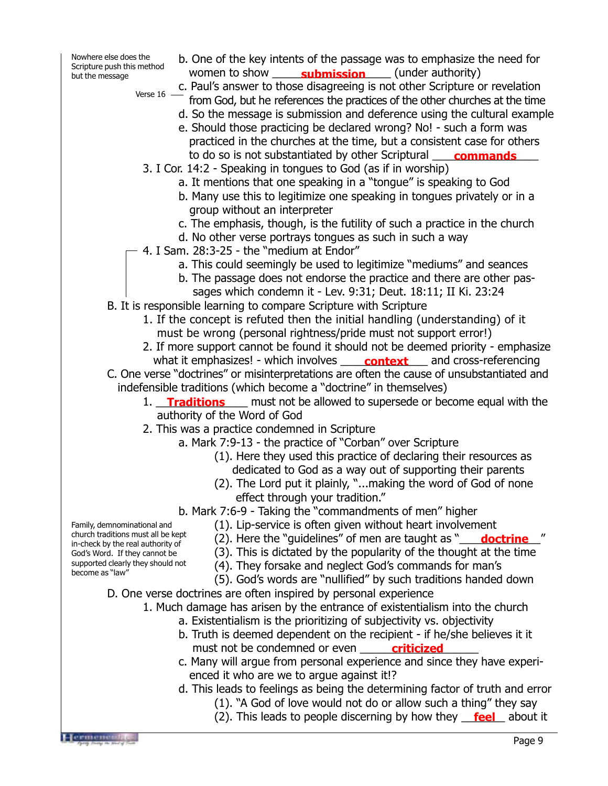Nowhere else does the Scripture push this method but the message

b. One of the key intents of the passage was to emphasize the need for women to show **\_\_\_\_\_\_\_\_\_\_\_\_\_\_\_\_\_\_\_\_\_\_\_\_\_\_\_\_** (under authority) c. Paul's answer to those disagreeing is not other Scripture or revelation

Verse 16 -

- from God, but he references the practices of the other churches at the time d. So the message is submission and deference using the cultural example
	- e. Should those practicing be declared wrong? No! such a form was practiced in the churches at the time, but a consistent case for others to do so is not substantiated by other Scriptural **commands**
- 3. I Cor. 14:2 Speaking in tongues to God (as if in worship)
	- a. It mentions that one speaking in a "tongue" is speaking to God
	- b. Many use this to legitimize one speaking in tongues privately or in a group without an interpreter
	- c. The emphasis, though, is the futility of such a practice in the church
	- d. No other verse portrays tongues as such in such a way
- 4. I Sam. 28:3-25 the "medium at Endor"
	- a. This could seemingly be used to legitimize "mediums" and seances
	- b. The passage does not endorse the practice and there are other pas sages which condemn it - Lev. 9:31; Deut. 18:11; II Ki. 23:24
- B. It is responsible learning to compare Scripture with Scripture
	- 1. If the concept is refuted then the initial handling (understanding) of it must be wrong (personal rightness/pride must not support error!)
	- 2. If more support cannot be found it should not be deemed priority emphasize
- what it emphasizes! which involves \_\_\_\_\_**context** \_\_\_\_ and cross-referencing C. One verse "doctrines" or misinterpretations are often the cause of unsubstantiated and indefensible traditions (which become a "doctrine" in themselves)
	- 1. Traditions same must not be allowed to supersede or become equal with the authority of the Word of God
	- 2. This was a practice condemned in Scripture
		- a. Mark 7:9-13 the practice of "Corban" over Scripture
			- (1). Here they used this practice of declaring their resources as dedicated to God as a way out of supporting their parents
			- (2). The Lord put it plainly, "...making the word of God of none effect through your tradition."
		- b. Mark 7:6-9 Taking the "commandments of men" higher
			- (1). Lip-service is often given without heart involvement
			- (2). Here the "guidelines" of men are taught as "\_\_\_\_**doctrine**\_\_\_"
			- (3). This is dictated by the popularity of the thought at the time
			- (4). They forsake and neglect God's commands for man's
			- (5). God's words are "nullified" by such traditions handed down
- D. One verse doctrines are often inspired by personal experience
	- 1. Much damage has arisen by the entrance of existentialism into the church
		- a. Existentialism is the prioritizing of subjectivity vs. objectivity
		- b. Truth is deemed dependent on the recipient if he/she believes it it must not be condemned or even **contained and the condemned**
		- c. Many will argue from personal experience and since they have experi enced it who are we to argue against it!?
		- d. This leads to feelings as being the determining factor of truth and error
			- (1). "A God of love would not do or allow such a thing" they say
			- (2). This leads to people discerning by how they **feel** about it

Family, demnominational and church traditions must all be kept in-check by the real authority of God's Word. If they cannot be supported clearly they should not become as "law"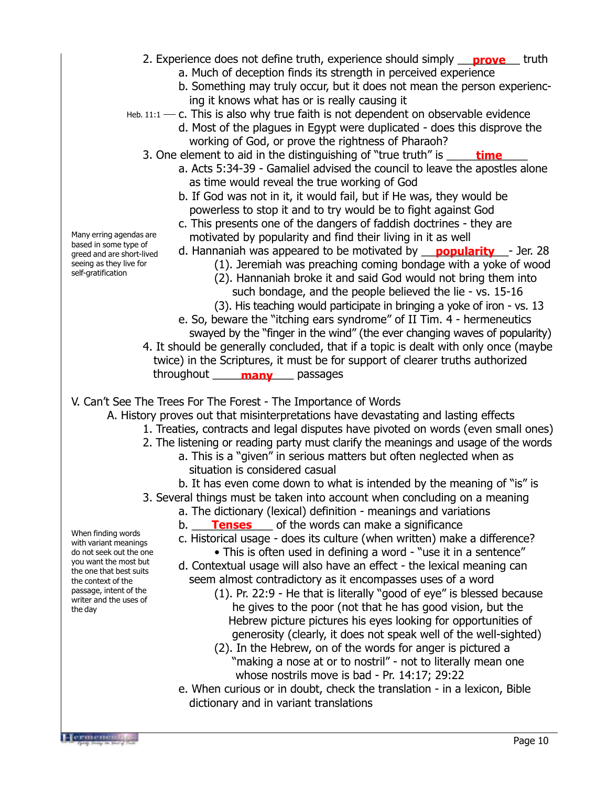- 2. Experience does not define truth, experience should simply **prove** truth a. Much of deception finds its strength in perceived experience
	- b. Something may truly occur, but it does not mean the person experienc-
	- ing it knows what has or is really causing it
- $H$ eb. 11:1  $-$  c. This is also why true faith is not dependent on observable evidence
	- d. Most of the plagues in Egypt were duplicated does this disprove the working of God, or prove the rightness of Pharaoh?
	- 3. One element to aid in the distinguishing of "true truth" is **time**
		- a. Acts 5:34-39 Gamaliel advised the council to leave the apostles alone as time would reveal the true working of God
		- b. If God was not in it, it would fail, but if He was, they would be powerless to stop it and to try would be to fight against God
		- c. This presents one of the dangers of faddish doctrines they are motivated by popularity and find their living in it as well
		- d. Hannaniah was appeared to be motivated by **popularity** Jer. 28
			- (1). Jeremiah was preaching coming bondage with a yoke of wood
			- (2). Hannaniah broke it and said God would not bring them into
				- such bondage, and the people believed the lie vs. 15-16
			- (3). His teaching would participate in bringing a yoke of iron vs. 13
	- e. So, beware the "itching ears syndrome" of II Tim. 4 hermeneutics swayed by the "finger in the wind" (the ever changing waves of popularity) 4. It should be generally concluded, that if a topic is dealt with only once (maybe
	- twice) in the Scriptures, it must be for support of clearer truths authorized throughout \_\_\_\_\_\_\_\_\_\_\_\_\_ passages **many**

V. Can't See The Trees For The Forest - The Importance of Words

A. History proves out that misinterpretations have devastating and lasting effects

- 1. Treaties, contracts and legal disputes have pivoted on words (even small ones)
- 2. The listening or reading party must clarify the meanings and usage of the words
	- a. This is a "given" in serious matters but often neglected when as situation is considered casual
	- b. It has even come down to what is intended by the meaning of "is" is
- 3. Several things must be taken into account when concluding on a meaning
	- a. The dictionary (lexical) definition meanings and variations
	- b. **\_\_\_\_\_\_\_\_\_\_\_\_\_\_\_\_** of the words can make a significance
	- c. Historical usage does its culture (when written) make a difference? • This is often used in defining a word - "use it in a sentence"
	- d. Contextual usage will also have an effect the lexical meaning can seem almost contradictory as it encompasses uses of a word
		- (1). Pr. 22:9 He that is literally "good of eye" is blessed because he gives to the poor (not that he has good vision, but the Hebrew picture pictures his eyes looking for opportunities of generosity (clearly, it does not speak well of the well-sighted)
		- (2). In the Hebrew, on of the words for anger is pictured a "making a nose at or to nostril" - not to literally mean one whose nostrils move is bad - Pr. 14:17; 29:22
	- e. When curious or in doubt, check the translation in a lexicon, Bible dictionary and in variant translations

Many erring agendas are based in some type of greed and are short-lived seeing as they live for self-gratification

When finding words with variant meanings do not seek out the one you want the most but the one that best suits the context of the passage, intent of the writer and the uses of

the day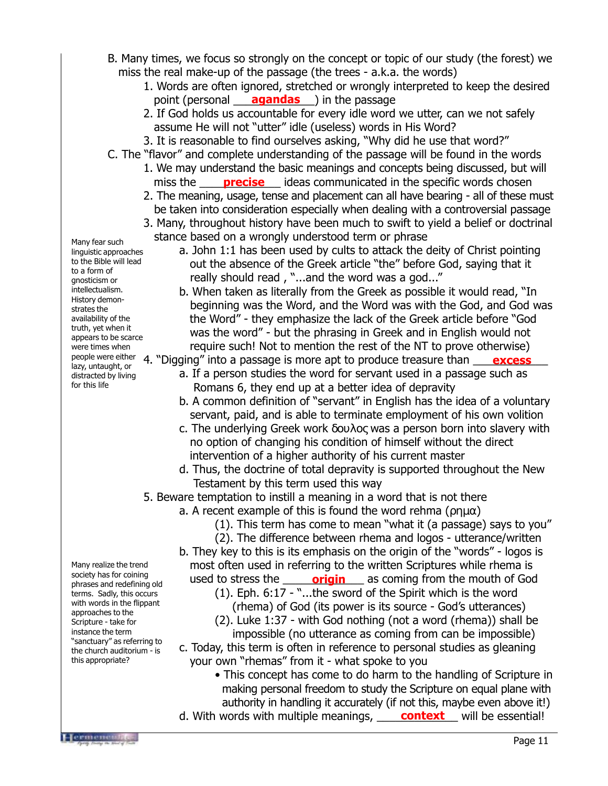- B. Many times, we focus so strongly on the concept or topic of our study (the forest) we miss the real make-up of the passage (the trees - a.k.a. the words)
	- 1. Words are often ignored, stretched or wrongly interpreted to keep the desired point (personal **\_\_\_\_<u>agandas</u>**) in the passage
	- 2. If God holds us accountable for every idle word we utter, can we not safely assume He will not "utter" idle (useless) words in His Word?
	- 3. It is reasonable to find ourselves asking, "Why did he use that word?"
- C. The "flavor" and complete understanding of the passage will be found in the words
	- 1. We may understand the basic meanings and concepts being discussed, but will miss the **precise** ideas communicated in the specific words chosen
	- 2. The meaning, usage, tense and placement can all have bearing all of these must be taken into consideration especially when dealing with a controversial passage
	- 3. Many, throughout history have been much to swift to yield a belief or doctrinal stance based on a wrongly understood term or phrase
- Many fear such linguistic approaches to the Bible will lead to a form of gnosticism or intellectualism. History demonstrates the availability of the truth, yet when it appears to be scarce were times when lazy, untaught, or distracted by living for this life
- a. John 1:1 has been used by cults to attack the deity of Christ pointing out the absence of the Greek article "the" before God, saying that it really should read , "...and the word was a god..."
	- b. When taken as literally from the Greek as possible it would read, "In beginning was the Word, and the Word was with the God, and God was the Word" - they emphasize the lack of the Greek article before "God was the word" - but the phrasing in Greek and in English would not require such! Not to mention the rest of the NT to prove otherwise)
- people were either 4. "Digging" into a passage is more apt to produce treasure than <u>excess</u> a. If a person studies the word for servant used in a passage such as Romans 6, they end up at a better idea of depravity
	- b. A common definition of "servant" in English has the idea of a voluntary servant, paid, and is able to terminate employment of his own volition
	- c. The underlying Greek work δουλος was a person born into slavery with no option of changing his condition of himself without the direct intervention of a higher authority of his current master
	- d. Thus, the doctrine of total depravity is supported throughout the New Testament by this term used this way
	- 5. Beware temptation to instill a meaning in a word that is not there
		- a. A recent example of this is found the word rehma ( $\rho$ ημα)
			- (1). This term has come to mean "what it (a passage) says to you"
			- (2). The difference between rhema and logos utterance/written
		- b. They key to this is its emphasis on the origin of the "words" logos is most often used in referring to the written Scriptures while rhema is
		- used to stress the **\_\_\_\_\_\_\_\_\_\_\_\_\_\_\_\_\_\_\_\_\_\_\_\_** as coming from the mouth of God (1). Eph.  $6:17 -$ "...the sword of the Spirit which is the word
			- (rhema) of God (its power is its source God's utterances)
			- (2). Luke 1:37 with God nothing (not a word (rhema)) shall be impossible (no utterance as coming from can be impossible)
		- c. Today, this term is often in reference to personal studies as gleaning your own "rhemas" from it - what spoke to you
			- This concept has come to do harm to the handling of Scripture in making personal freedom to study the Scripture on equal plane with authority in handling it accurately (if not this, maybe even above it!)
		- d. With words with multiple meanings, **context** will be essential!

Many realize the trend society has for coining phrases and redefining old terms. Sadly, this occurs with words in the flippant approaches to the Scripture - take for instance the term "sanctuary" as referring to the church auditorium - is this appropriate?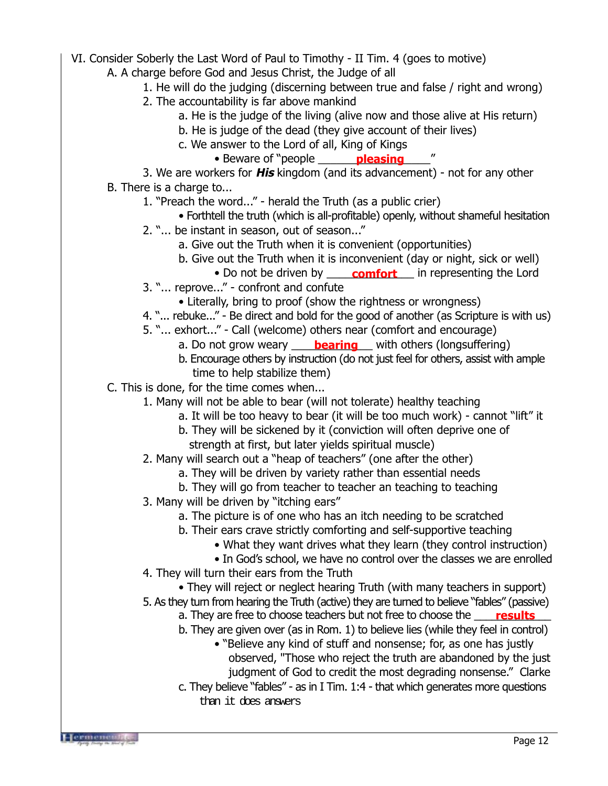- VI. Consider Soberly the Last Word of Paul to Timothy II Tim. 4 (goes to motive)
	- A. A charge before God and Jesus Christ, the Judge of all
		- 1. He will do the judging (discerning between true and false / right and wrong)
		- 2. The accountability is far above mankind
			- a. He is the judge of the living (alive now and those alive at His return)
			- b. He is judge of the dead (they give account of their lives)
			- c. We answer to the Lord of all, King of Kings
				- Beware of "people \_\_\_\_\_\_\_\_\_\_\_\_\_\_\_\_\_\_" **pleasing**

3. We are workers for **His** kingdom (and its advancement) - not for any other B. There is a charge to...

- 1. "Preach the word..." herald the Truth (as a public crier)
	- Forthtell the truth (which is all-profitable) openly, without shameful hesitation
- 2. "... be instant in season, out of season..."
	- a. Give out the Truth when it is convenient (opportunities)
	- b. Give out the Truth when it is inconvenient (day or night, sick or well)
		- Do not be driven by **comfort** in representing the Lord
- 3. "... reprove..." confront and confute
	- Literally, bring to proof (show the rightness or wrongness)
- 4. "... rebuke..." Be direct and bold for the good of another (as Scripture is with us)
- 5. "... exhort..." Call (welcome) others near (comfort and encourage)
	- a. Do not grow weary \_\_\_\_\_**bearing**\_\_\_ with others (longsuffering)
	- b. Encourage others by instruction (do not just feel for others, assist with ample time to help stabilize them)
- C. This is done, for the time comes when...
	- 1. Many will not be able to bear (will not tolerate) healthy teaching
		- a. It will be too heavy to bear (it will be too much work) cannot "lift" it
		- b. They will be sickened by it (conviction will often deprive one of strength at first, but later yields spiritual muscle)
	- 2. Many will search out a "heap of teachers" (one after the other)
		- a. They will be driven by variety rather than essential needs
		- b. They will go from teacher to teacher an teaching to teaching
	- 3. Many will be driven by "itching ears"
		- a. The picture is of one who has an itch needing to be scratched
		- b. Their ears crave strictly comforting and self-supportive teaching
			- What they want drives what they learn (they control instruction)
			- In God's school, we have no control over the classes we are enrolled
	- 4. They will turn their ears from the Truth
		- They will reject or neglect hearing Truth (with many teachers in support)
	- 5. As they turn from hearing the Truth (active) they are turned to believe "fables" (passive)
		- a. They are free to choose teachers but not free to choose the **\_\_\_\_\_<mark>results</mark>**
		- b. They are given over (as in Rom. 1) to believe lies (while they feel in control)
			- "Believe any kind of stuff and nonsense; for, as one has justly observed, "Those who reject the truth are abandoned by the just judgment of God to credit the most degrading nonsense." Clarke
		- c. They believe "fables" as in I Tim. 1:4 that which generates more questions than it does answers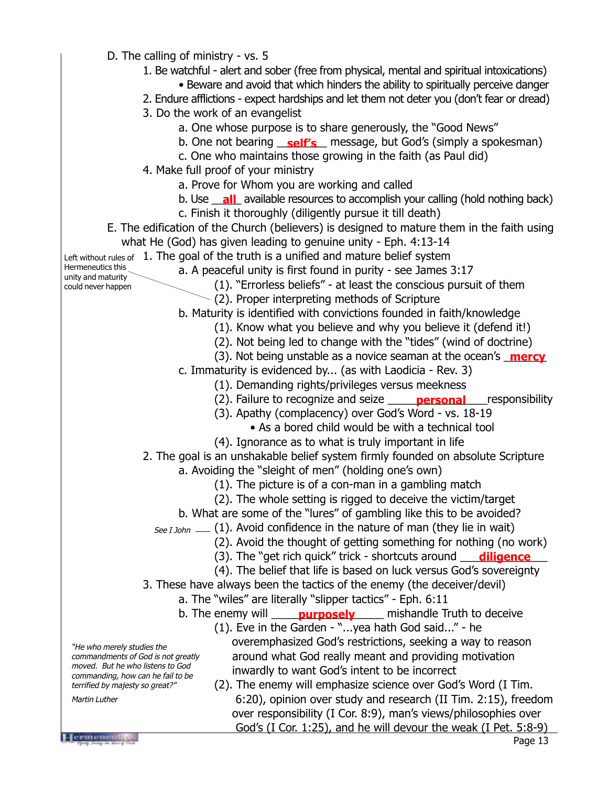D. The calling of ministry - vs. 5 1. Be watchful - alert and sober (free from physical, mental and spiritual intoxications) • Beware and avoid that which hinders the ability to spiritually perceive danger 2. Endure afflictions - expect hardships and let them not deter you (don't fear or dread) 3. Do the work of an evangelist a. One whose purpose is to share generously, the "Good News" b. One not bearing <u>self's</u> message, but God's (simply a spokesman) c. One who maintains those growing in the faith (as Paul did) 4. Make full proof of your ministry a. Prove for Whom you are working and called b. Use **\_all** available resources to accomplish your calling (hold nothing back) c. Finish it thoroughly (diligently pursue it till death) E. The edification of the Church (believers) is designed to mature them in the faith using what He (God) has given leading to genuine unity - Eph. 4:13-14 Left without rules of  $\,$  1. The goal of the truth is a unified and mature belief system a. A peaceful unity is first found in purity - see James 3:17 (1). "Errorless beliefs" - at least the conscious pursuit of them (2). Proper interpreting methods of Scripture b. Maturity is identified with convictions founded in faith/knowledge (1). Know what you believe and why you believe it (defend it!) (2). Not being led to change with the "tides" (wind of doctrine) (3). Not being unstable as a novice seaman at the ocean's **mercy** c. Immaturity is evidenced by... (as with Laodicia - Rev. 3) (1). Demanding rights/privileges versus meekness (2). Failure to recognize and seize **\_\_\_\_\_\_\_personal**\_\_\_\_responsibility (3). Apathy (complacency) over God's Word - vs. 18-19 • As a bored child would be with a technical tool (4). Ignorance as to what is truly important in life 2. The goal is an unshakable belief system firmly founded on absolute Scripture a. Avoiding the "sleight of men" (holding one's own) (1). The picture is of a con-man in a gambling match (2). The whole setting is rigged to deceive the victim/target b. What are some of the "lures" of gambling like this to be avoided?  $See$  I John  $\_\_$  (1). Avoid confidence in the nature of man (they lie in wait) (2). Avoid the thought of getting something for nothing (no work) (3). The "get rich quick" trick - shortcuts around \_\_\_\_\_\_\_\_\_\_\_\_\_\_ **diligence**(4). The belief that life is based on luck versus God's sovereignty 3. These have always been the tactics of the enemy (the deceiver/devil) a. The "wiles" are literally "slipper tactics" - Eph. 6:11 b. The enemy will **example of purposely** and mishandle Truth to deceive (1). Eve in the Garden - "...yea hath God said..." - he overemphasized God's restrictions, seeking a way to reason around what God really meant and providing motivation inwardly to want God's intent to be incorrect (2). The enemy will emphasize science over God's Word (I Tim. 6:20), opinion over study and research (II Tim. 2:15), freedom over responsibility (I Cor. 8:9), man's views/philosophies over God's (I Cor. 1:25), and he will devour the weak (I Pet. 5:8-9) Hermeneutics this unity and maturity could never happen "He who merely studies the commandments of God is not greatly moved. But he who listens to God commanding, how can he fail to be terrified by majesty so great?" Martin Luther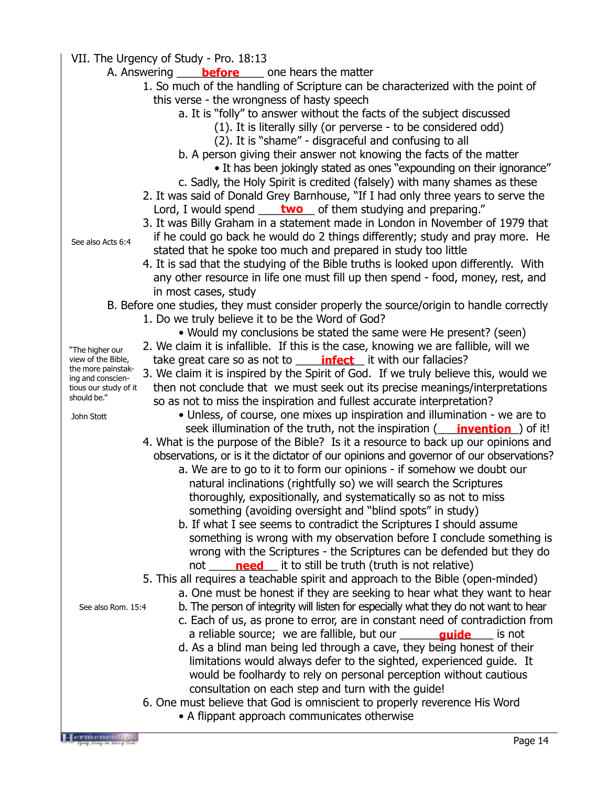VII. The Urgency of Study - Pro. 18:13

- A. Answering <u>Louis before</u> the cone hears the matter
	- 1. So much of the handling of Scripture can be characterized with the point of this verse - the wrongness of hasty speech
		- a. It is "folly" to answer without the facts of the subject discussed
			- (1). It is literally silly (or perverse to be considered odd)
				- (2). It is "shame" disgraceful and confusing to all
		- b. A person giving their answer not knowing the facts of the matter
			- It has been jokingly stated as ones "expounding on their ignorance"
		- c. Sadly, the Holy Spirit is credited (falsely) with many shames as these
	- 2. It was said of Donald Grey Barnhouse, "If I had only three years to serve the Lord, I would spend **contaturation** of them studying and preparing."
	- 3. It was Billy Graham in a statement made in London in November of 1979 that

See also Acts 6:4

"The higher our view of the Bible, the more painstaking and conscientious our study of it should be." John Stott

- if he could go back he would do 2 things differently; study and pray more. He stated that he spoke too much and prepared in study too little 4. It is sad that the studying of the Bible truths is looked upon differently. With
- any other resource in life one must fill up then spend food, money, rest, and in most cases, study
- B. Before one studies, they must consider properly the source/origin to handle correctly
	- 1. Do we truly believe it to be the Word of God?
		- Would my conclusions be stated the same were He present? (seen)
	- 2. We claim it is infallible. If this is the case, knowing we are fallible, will we
	- take great care so as not to **\_\_\_\_\_\_\_\_\_\_\_\_\_\_\_\_\_\_\_\_\_** it with our fallacies?
	- 3. We claim it is inspired by the Spirit of God. If we truly believe this, would we then not conclude that we must seek out its precise meanings/interpretations so as not to miss the inspiration and fullest accurate interpretation?
		- Unless, of course, one mixes up inspiration and illumination we are to seek illumination of the truth, not the inspiration (**invention**) of it!
	- 4. What is the purpose of the Bible? Is it a resource to back up our opinions and observations, or is it the dictator of our opinions and governor of our observations?
		- a. We are to go to it to form our opinions if somehow we doubt our natural inclinations (rightfully so) we will search the Scriptures thoroughly, expositionally, and systematically so as not to miss something (avoiding oversight and "blind spots" in study)
		- b. If what I see seems to contradict the Scriptures I should assume something is wrong with my observation before I conclude something is wrong with the Scriptures - the Scriptures can be defended but they do not \_\_\_\_\_**need** \_\_\_ it to still be truth (truth is not relative)

5. This all requires a teachable spirit and approach to the Bible (open-minded)

- a. One must be honest if they are seeking to hear what they want to hear
- b. The person of integrity will listen for especially what they do not want to hear
- c. Each of us, as prone to error, are in constant need of contradiction from a reliable source; we are fallible, but our **quide** sis not
- d. As a blind man being led through a cave, they being honest of their limitations would always defer to the sighted, experienced guide. It would be foolhardy to rely on personal perception without cautious consultation on each step and turn with the guide!
- 6. One must believe that God is omniscient to properly reverence His Word
	- A flippant approach communicates otherwise

See also Rom. 15:4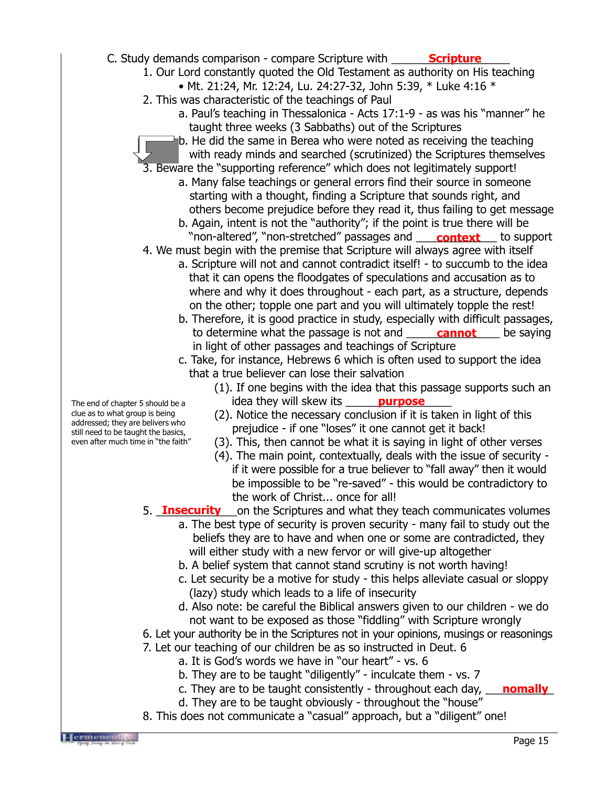## C. Study demands comparison - compare Scripture with **Scripture**

- 1. Our Lord constantly quoted the Old Testament as authority on His teaching • Mt. 21:24, Mr. 12:24, Lu. 24:27-32, John 5:39, \* Luke 4:16 \*
- 
- 2. This was characteristic of the teachings of Paul
	- a. Paul's teaching in Thessalonica Acts 17:1-9 as was his "manner" he taught three weeks (3 Sabbaths) out of the Scriptures
	- b. He did the same in Berea who were noted as receiving the teaching with ready minds and searched (scrutinized) the Scriptures themselves
- 3. Beware the "supporting reference" which does not legitimately support!
	- a. Many false teachings or general errors find their source in someone starting with a thought, finding a Scripture that sounds right, and others become prejudice before they read it, thus failing to get message
- b. Again, intent is not the "authority"; if the point is true there will be "non-altered", "non-stretched" passages and **\_\_\_\_ context** \_\_\_ to support 4. We must begin with the premise that Scripture will always agree with itself
	- a. Scripture will not and cannot contradict itself! to succumb to the idea that it can opens the floodgates of speculations and accusation as to where and why it does throughout - each part, as a structure, depends on the other; topple one part and you will ultimately topple the rest!
	- b. Therefore, it is good practice in study, especially with difficult passages, to determine what the passage is not and in light of other passages and teachings of Scripture **cannot** be saying
	- c. Take, for instance, Hebrews 6 which is often used to support the idea that a true believer can lose their salvation
		- (1). If one begins with the idea that this passage supports such an idea they will skew its state **purpose**
		- (2). Notice the necessary conclusion if it is taken in light of this prejudice - if one "loses" it one cannot get it back!
		- (3). This, then cannot be what it is saying in light of other verses
		- (4). The main point, contextually, deals with the issue of security if it were possible for a true believer to "fall away" then it would be impossible to be "re-saved" - this would be contradictory to the work of Christ... once for all!
- 5. **Insecurity** on the Scriptures and what they teach communicates volumes
	- a. The best type of security is proven security many fail to study out the beliefs they are to have and when one or some are contradicted, they will either study with a new fervor or will give-up altogether
	- b. A belief system that cannot stand scrutiny is not worth having!
	- c. Let security be a motive for study this helps alleviate casual or sloppy (lazy) study which leads to a life of insecurity
	- d. Also note: be careful the Biblical answers given to our children we do not want to be exposed as those "fiddling" with Scripture wrongly
- 6. Let your authority be in the Scriptures not in your opinions, musings or reasonings
- 7. Let our teaching of our children be as so instructed in Deut. 6
	- a. It is God's words we have in "our heart" vs. 6
	- b. They are to be taught "diligently" inculcate them vs. 7
	- c. They are to be taught consistently throughout each day, **\_\_\_\_nomally\_**
	- d. They are to be taught obviously throughout the "house"
- 8. This does not communicate a "casual" approach, but a "diligent" one!

The end of chapter 5 should be a clue as to what group is being addressed; they are belivers who still need to be taught the basics, even after much time in "the faith"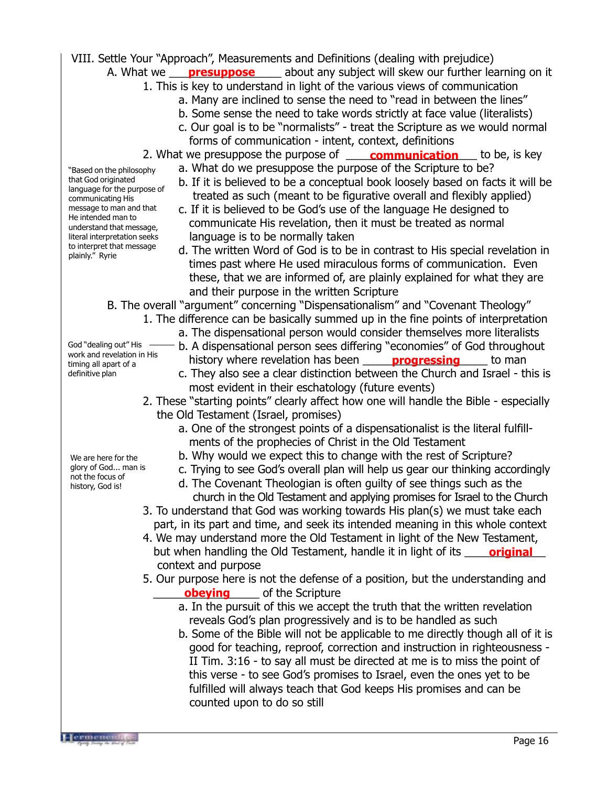VIII. Settle Your "Approach", Measurements and Definitions (dealing with prejudice)

- A. What we <u>earling presuppose</u> the about any subject will skew our further learning on it
	- 1. This is key to understand in light of the various views of communication
		- a. Many are inclined to sense the need to "read in between the lines"
		- b. Some sense the need to take words strictly at face value (literalists)
		- c. Our goal is to be "normalists" treat the Scripture as we would normal forms of communication - intent, context, definitions
	- 2. What we presuppose the purpose of **communication** to be, is key
		- a. What do we presuppose the purpose of the Scripture to be?
		- b. If it is believed to be a conceptual book loosely based on facts it will be treated as such (meant to be figurative overall and flexibly applied)
		- c. If it is believed to be God's use of the language He designed to communicate His revelation, then it must be treated as normal language is to be normally taken
		- d. The written Word of God is to be in contrast to His special revelation in times past where He used miraculous forms of communication. Even these, that we are informed of, are plainly explained for what they are and their purpose in the written Scripture

B. The overall "argument" concerning "Dispensationalism" and "Covenant Theology"

- 1. The difference can be basically summed up in the fine points of interpretation a. The dispensational person would consider themselves more literalists
	- b. A dispensational person sees differing "economies" of God throughout history where revelation has been **progressing** to man
	- c. They also see a clear distinction between the Church and Israel this is most evident in their eschatology (future events)
- 2. These "starting points" clearly affect how one will handle the Bible especially the Old Testament (Israel, promises)
	- a. One of the strongest points of a dispensationalist is the literal fulfill ments of the prophecies of Christ in the Old Testament
	- b. Why would we expect this to change with the rest of Scripture?
	- c. Trying to see God's overall plan will help us gear our thinking accordingly
	- d. The Covenant Theologian is often guilty of see things such as the church in the Old Testament and applying promises for Israel to the Church
- 3. To understand that God was working towards His plan(s) we must take each part, in its part and time, and seek its intended meaning in this whole context
- 4. We may understand more the Old Testament in light of the New Testament, but when handling the Old Testament, handle it in light of its **\_\_\_\_\_\_<u>original</u>** context and purpose
- 5. Our purpose here is not the defense of a position, but the understanding and **beying** of the Scripture
	- a. In the pursuit of this we accept the truth that the written revelation reveals God's plan progressively and is to be handled as such
	- b. Some of the Bible will not be applicable to me directly though all of it is good for teaching, reproof, correction and instruction in righteousness - II Tim. 3:16 - to say all must be directed at me is to miss the point of this verse - to see God's promises to Israel, even the ones yet to be fulfilled will always teach that God keeps His promises and can be counted upon to do so still

"Based on the philosophy that God originated language for the purpose of communicating His message to man and that He intended man to understand that message, literal interpretation seeks to interpret that message plainly." Ryrie

We are here for the glory of God... man is not the focus of

history, God is!

God "dealing out" His work and revelation in His timing all apart of a definitive plan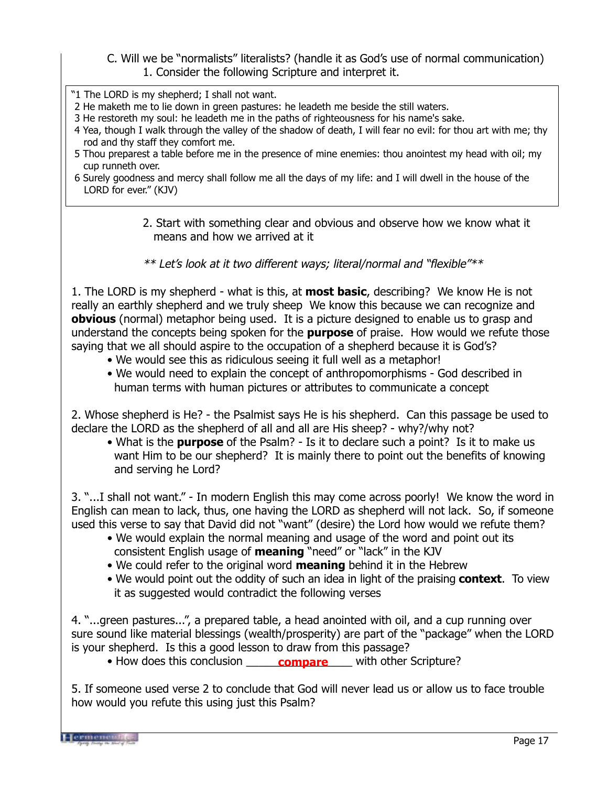## C. Will we be "normalists" literalists? (handle it as God's use of normal communication) 1. Consider the following Scripture and interpret it.

- "1 The LORD is my shepherd; I shall not want.
- 2 He maketh me to lie down in green pastures: he leadeth me beside the still waters.
- 3 He restoreth my soul: he leadeth me in the paths of righteousness for his name's sake.
- 4 Yea, though I walk through the valley of the shadow of death, I will fear no evil: for thou art with me; thy rod and thy staff they comfort me.
- 5 Thou preparest a table before me in the presence of mine enemies: thou anointest my head with oil; my cup runneth over.
- 6 Surely goodness and mercy shall follow me all the days of my life: and I will dwell in the house of the LORD for ever." (KJV)
	- 2. Start with something clear and obvious and observe how we know what it means and how we arrived at it

\*\* Let's look at it two different ways; literal/normal and "flexible"\*\*

1. The LORD is my shepherd - what is this, at **most basic**, describing? We know He is not really an earthly shepherd and we truly sheep We know this because we can recognize and **obvious** (normal) metaphor being used. It is a picture designed to enable us to grasp and understand the concepts being spoken for the **purpose** of praise. How would we refute those saying that we all should aspire to the occupation of a shepherd because it is God's?

- We would see this as ridiculous seeing it full well as a metaphor!
- We would need to explain the concept of anthropomorphisms God described in human terms with human pictures or attributes to communicate a concept

2. Whose shepherd is He? - the Psalmist says He is his shepherd. Can this passage be used to declare the LORD as the shepherd of all and all are His sheep? - why?/why not?

• What is the **purpose** of the Psalm? - Is it to declare such a point? Is it to make us want Him to be our shepherd? It is mainly there to point out the benefits of knowing and serving he Lord?

3. "...I shall not want." - In modern English this may come across poorly! We know the word in English can mean to lack, thus, one having the LORD as shepherd will not lack. So, if someone used this verse to say that David did not "want" (desire) the Lord how would we refute them?

- We would explain the normal meaning and usage of the word and point out its consistent English usage of **meaning** "need" or "lack" in the KJV
- We could refer to the original word **meaning** behind it in the Hebrew
- We would point out the oddity of such an idea in light of the praising **context**. To view it as suggested would contradict the following verses

4. "...green pastures...", a prepared table, a head anointed with oil, and a cup running over sure sound like material blessings (wealth/prosperity) are part of the "package" when the LORD is your shepherd. Is this a good lesson to draw from this passage?

• How does this conclusion **compare** with other Scripture?

5. If someone used verse 2 to conclude that God will never lead us or allow us to face trouble how would you refute this using just this Psalm?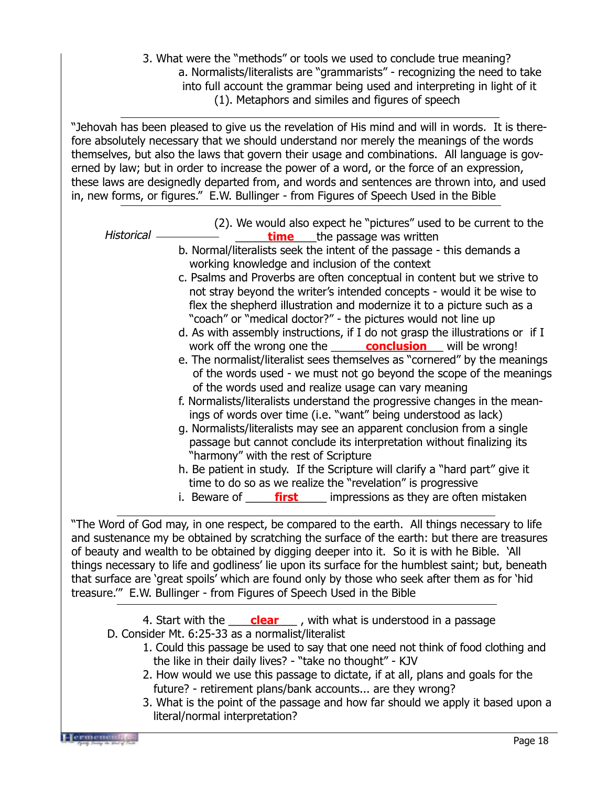3. What were the "methods" or tools we used to conclude true meaning? a. Normalists/literalists are "grammarists" - recognizing the need to take into full account the grammar being used and interpreting in light of it (1). Metaphors and similes and figures of speech

"Jehovah has been pleased to give us the revelation of His mind and will in words. It is therefore absolutely necessary that we should understand nor merely the meanings of the words themselves, but also the laws that govern their usage and combinations. All language is governed by law; but in order to increase the power of a word, or the force of an expression, these laws are designedly departed from, and words and sentences are thrown into, and used in, new forms, or figures." E.W. Bullinger - from Figures of Speech Used in the Bible

Historical

- (2). We would also expect he "pictures" used to be current to the - **\_\_\_\_\_\_\_<u>time</u> \_\_\_**the passage was written
- b. Normal/literalists seek the intent of the passage this demands a working knowledge and inclusion of the context
- c. Psalms and Proverbs are often conceptual in content but we strive to not stray beyond the writer's intended concepts - would it be wise to flex the shepherd illustration and modernize it to a picture such as a "coach" or "medical doctor?" - the pictures would not line up
- d. As with assembly instructions, if I do not grasp the illustrations or if I work off the wrong one the **conclusion** will be wrong!
- e. The normalist/literalist sees themselves as "cornered" by the meanings of the words used - we must not go beyond the scope of the meanings of the words used and realize usage can vary meaning
- f. Normalists/literalists understand the progressive changes in the mean ings of words over time (i.e. "want" being understood as lack)
- g. Normalists/literalists may see an apparent conclusion from a single passage but cannot conclude its interpretation without finalizing its "harmony" with the rest of Scripture
- h. Be patient in study. If the Scripture will clarify a "hard part" give it time to do so as we realize the "revelation" is progressive
- i. Beware of <u>come first</u> compressions as they are often mistaken

"The Word of God may, in one respect, be compared to the earth. All things necessary to life and sustenance my be obtained by scratching the surface of the earth: but there are treasures of beauty and wealth to be obtained by digging deeper into it. So it is with he Bible. 'All things necessary to life and godliness' lie upon its surface for the humblest saint; but, beneath that surface are 'great spoils' which are found only by those who seek after them as for 'hid treasure.'" E.W. Bullinger - from Figures of Speech Used in the Bible

4. Start with the <u>clear</u> , with what is understood in a passage D. Consider Mt. 6:25-33 as a normalist/literalist

- 1. Could this passage be used to say that one need not think of food clothing and the like in their daily lives? - "take no thought" - KJV
- 2. How would we use this passage to dictate, if at all, plans and goals for the future? - retirement plans/bank accounts... are they wrong?
- 3. What is the point of the passage and how far should we apply it based upon a literal/normal interpretation?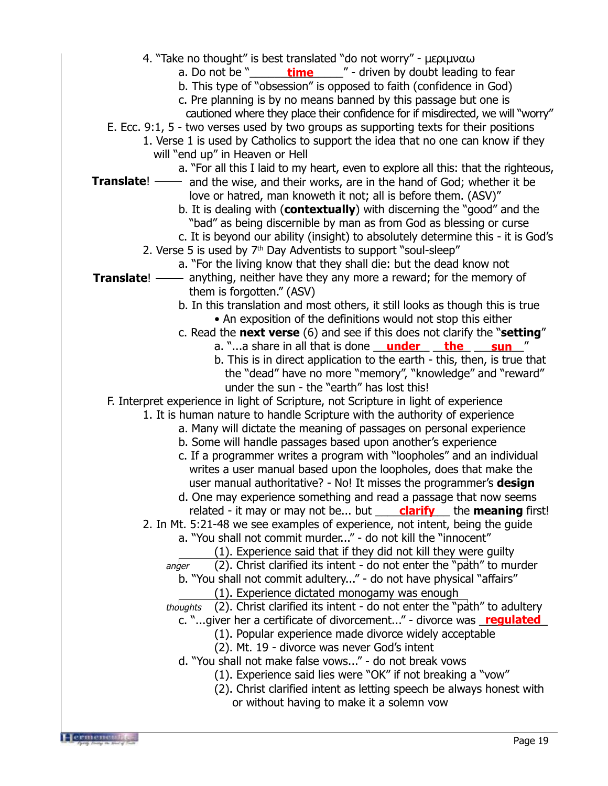4. "Take no thought" is best translated "do not worry" - µεριµναω a. Do not be "\_\_\_\_\_\_\_\_\_**time**\_\_\_\_\_\_" - driven by doubt leading to fear b. This type of "obsession" is opposed to faith (confidence in God) c. Pre planning is by no means banned by this passage but one is cautioned where they place their confidence for if misdirected, we will "worry" E. Ecc. 9:1, 5 - two verses used by two groups as supporting texts for their positions 1. Verse 1 is used by Catholics to support the idea that no one can know if they will "end up" in Heaven or Hell a. "For all this I laid to my heart, even to explore all this: that the righteous, - and the wise, and their works, are in the hand of God; whether it be love or hatred, man knoweth it not; all is before them. (ASV)" b. It is dealing with (**contextually**) with discerning the "good" and the "bad" as being discernible by man as from God as blessing or curse c. It is beyond our ability (insight) to absolutely determine this - it is God's 2. Verse 5 is used by  $7<sup>th</sup>$  Day Adventists to support "soul-sleep" a. "For the living know that they shall die: but the dead know not **Translate**! —— anything, neither have they any more a reward; for the memory of them is forgotten." (ASV) b. In this translation and most others, it still looks as though this is true • An exposition of the definitions would not stop this either c. Read the **next verse** (6) and see if this does not clarify the "**setting**" a. "...a share in all that is done <u>\_\_\_\_\_\_\_\_\_\_\_\_\_\_\_\_\_\_\_\_\_\_\_\_\_\_\_\_\_\_\_</u>" b. This is in direct application to the earth - this, then, is true that the "dead" have no more "memory", "knowledge" and "reward" under the sun - the "earth" has lost this! F. Interpret experience in light of Scripture, not Scripture in light of experience 1. It is human nature to handle Scripture with the authority of experience a. Many will dictate the meaning of passages on personal experience b. Some will handle passages based upon another's experience c. If a programmer writes a program with "loopholes" and an individual writes a user manual based upon the loopholes, does that make the user manual authoritative? - No! It misses the programmer's **design** d. One may experience something and read a passage that now seems related - it may or may not be... but **clarify** the **meaning** first! 2. In Mt. 5:21-48 we see examples of experience, not intent, being the guide a. "You shall not commit murder..." - do not kill the "innocent" (1). Experience said that if they did not kill they were guilty (2). Christ clarified its intent - do not enter the "path" to murder b. "You shall not commit adultery..." - do not have physical "affairs" (1). Experience dictated monogamy was enough thoughts  $(2)$ . Christ clarified its intent - do not enter the "path" to adultery c. "...giver her a certificate of divorcement..." - divorce was **regulated** (1). Popular experience made divorce widely acceptable (2). Mt. 19 - divorce was never God's intent d. "You shall not make false vows..." - do not break vows (1). Experience said lies were "OK" if not breaking a "vow" (2). Christ clarified intent as letting speech be always honest with or without having to make it a solemn vow **Translate**!  $a$ nder